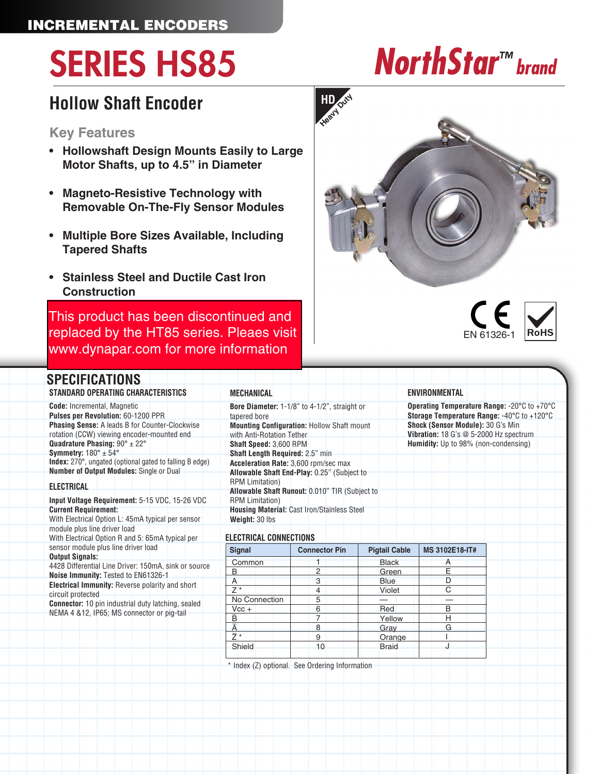# SERIES HS85 *NorthStar™ brand*

### **Hollow Shaft Encoder**

#### **Key Features**

- **• Hollowshaft Design Mounts Easily to Large Motor Shafts, up to 4.5" in Diameter**
- **• Magneto-Resistive Technology with Removable On-The-Fly Sensor Modules**
- **• Multiple Bore Sizes Available, Including Tapered Shafts**
- **• Stainless Steel and Ductile Cast Iron Construction**

This product has been discontinued and [replaced by the HT85 series. Pleaes visit](https://ecatalog.dynapar.com/ecatalog/incremental-encoders/en/HT85)  www.dynapar.com for more information

#### **SPECIFICATIONS**

#### **STANDARD OPERATING CHARACTERISTICS Code:** Incremental, Magnetic **Pulses per Revolution:** 60-1200 PPR **Phasing Sense:** A leads B for Counter-Clockwise rotation (CCW) viewing encoder-mounted end **Quadrature Phasing:** 90° ± 22° **Symmetry:** 180° ± 54° **Index:** 270°, ungated (optional gated to falling B edge)

**Number of Output Modules:** Single or Dual

#### **ELECTRICAL**

**Input Voltage Requirement:** 5-15 VDC, 15-26 VDC **Current Requirement:** With Electrical Option L: 45mA typical per sensor module plus line driver load With Electrical Option R and 5: 65mA typical per sensor module plus line driver load **Output Signals:** 4428 Differential Line Driver: 150mA, sink or source **Noise Immunity:** Tested to EN61326-1 **Electrical Immunity:** Reverse polarity and short circuit protected **Connector:** 10 pin industrial duty latching, sealed NEMA 4 &12, IP65; MS connector or pig-tail

| <b>MECHANICAL</b>                                                    |  |  |  |  |  |  |  |  |  |
|----------------------------------------------------------------------|--|--|--|--|--|--|--|--|--|
| <b>Bore Diameter: 1-1/8" to 4-1/2", straight or</b>                  |  |  |  |  |  |  |  |  |  |
| tapered bore                                                         |  |  |  |  |  |  |  |  |  |
| <b>Mounting Configuration: Hollow Shaft mount</b>                    |  |  |  |  |  |  |  |  |  |
| with Anti-Rotation Tether                                            |  |  |  |  |  |  |  |  |  |
| <b>Shaft Speed: 3,600 RPM</b>                                        |  |  |  |  |  |  |  |  |  |
| <b>Shaft Length Required: 2.5" min</b>                               |  |  |  |  |  |  |  |  |  |
| Acceleration Rate: 3,600 rpm/sec max                                 |  |  |  |  |  |  |  |  |  |
| Allowable Shaft End-Play: 0.25" (Subject to                          |  |  |  |  |  |  |  |  |  |
| <b>RPM Limitation</b> )                                              |  |  |  |  |  |  |  |  |  |
| Allowable Shaft Runout: 0.010" TIR (Subject to                       |  |  |  |  |  |  |  |  |  |
| <b>RPM Limitation)</b>                                               |  |  |  |  |  |  |  |  |  |
| <b>Housing Material: Cast Iron/Stainless Steel</b><br>Weight: 30 lbs |  |  |  |  |  |  |  |  |  |

#### **ELECTRICAL CONNECTIONS**

| <b>Signal</b> | <b>Connector Pin</b> | <b>Pigtail Cable</b> | <b>MS 3102E18-IT#</b> |  |
|---------------|----------------------|----------------------|-----------------------|--|
| Common        |                      | <b>Black</b>         | A                     |  |
| B             | 2                    | Green                | F                     |  |
| А             | 3                    | <b>Blue</b>          | D                     |  |
| *             | 4                    | Violet               | C                     |  |
| No Connection | 5                    |                      |                       |  |
| $Vec +$       | 6                    | Red                  | B                     |  |
| Ē             | 7                    | Yellow               | Н                     |  |
|               | 8                    | Gray                 | G                     |  |
|               | 9                    | Orange               |                       |  |
| Shield        | 10                   | <b>Braid</b>         |                       |  |

\* Index (Z) optional. See Ordering Information





#### **ENVIRONMENTAL**

**Operating Temperature Range:** -20°C to +70°C **Storage Temperature Range:** -40°C to +120°C **Shock (Sensor Module):** 30 G's Min **Vibration:** 18 G's @ 5-2000 Hz spectrum **Humidity:** Up to 98% (non-condensing)